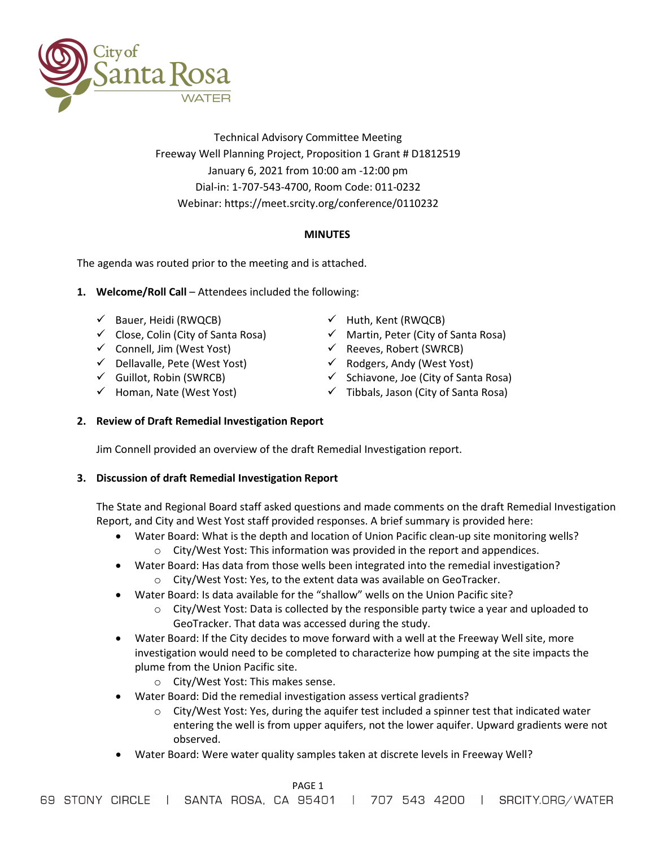

Technical Advisory Committee Meeting Freeway Well Planning Project, Proposition 1 Grant # D1812519 January 6, 2021 from 10:00 am -12:00 pm Dial-in: 1-707-543-4700, Room Code: 011-0232 Webinar:<https://meet.srcity.org/conference/0110232>

# **MINUTES**

The agenda was routed prior to the meeting and is attached.

- 1. **Welcome/Roll Call** Attendees included the following:
	- $\checkmark$  Bauer, Heidi (RWQCB)
	- $\checkmark$  Close, Colin (City of Santa Rosa)
	- $\checkmark$  Connell, Jim (West Yost)
	- $\checkmark$  Dellavalle, Pete (West Yost)
	- $\checkmark$  Guillot, Robin (SWRCB)
	- $\checkmark$  Homan, Nate (West Yost)
- $\checkmark$  Huth, Kent (RWQCB)
- $\checkmark$  Martin, Peter (City of Santa Rosa)
- $\checkmark$  Reeves, Robert (SWRCB)
- $\checkmark$  Rodgers, Andy (West Yost)
- $\checkmark$  Schiavone, Joe (City of Santa Rosa)
- $\checkmark$  Tibbals, Jason (City of Santa Rosa)
- **2. Review of Draft Remedial Investigation Report**

Jim Connell provided an overview of the draft Remedial Investigation report.

## **3. Discussion of draft Remedial Investigation Report**

The State and Regional Board staff asked questions and made comments on the draft Remedial Investigation Report, and City and West Yost staff provided responses. A brief summary is provided here:

- Water Board: What is the depth and location of Union Pacific clean-up site monitoring wells?
	- o City/West Yost: This information was provided in the report and appendices.
- Water Board: Has data from those wells been integrated into the remedial investigation? o City/West Yost: Yes, to the extent data was available on GeoTracker.
	- Water Board: Is data available for the "shallow" wells on the Union Pacific site?
		- $\circ$  City/West Yost: Data is collected by the responsible party twice a year and uploaded to GeoTracker. That data was accessed during the study.
- Water Board: If the City decides to move forward with a well at the Freeway Well site, more investigation would need to be completed to characterize how pumping at the site impacts the plume from the Union Pacific site.
	- o City/West Yost: This makes sense.
- Water Board: Did the remedial investigation assess vertical gradients?
	- $\circ$  City/West Yost: Yes, during the aquifer test included a spinner test that indicated water entering the well is from upper aquifers, not the lower aquifer. Upward gradients were not observed.
- Water Board: Were water quality samples taken at discrete levels in Freeway Well?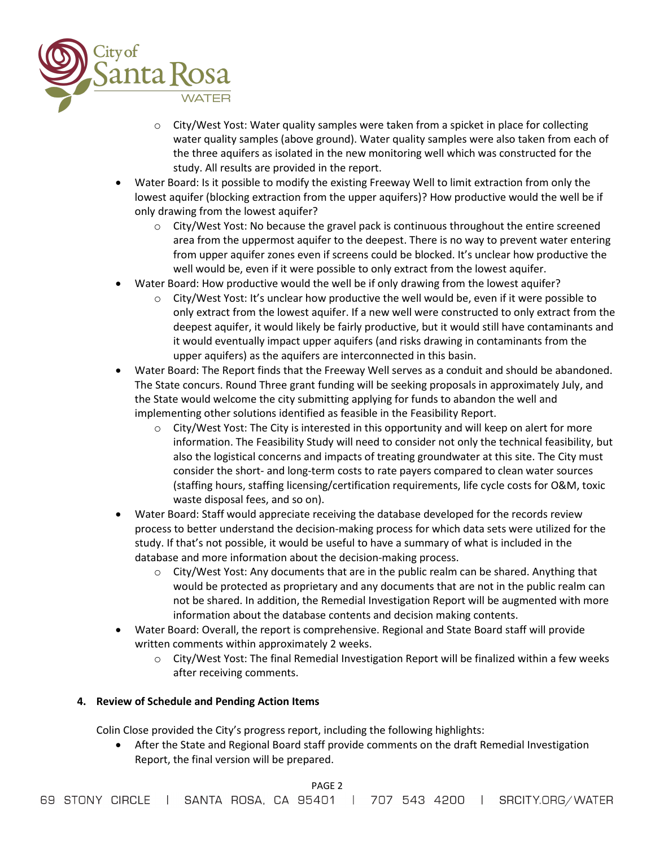

- $\circ$  City/West Yost: Water quality samples were taken from a spicket in place for collecting water quality samples (above ground). Water quality samples were also taken from each of the three aquifers as isolated in the new monitoring well which was constructed for the study. All results are provided in the report.
- Water Board: Is it possible to modify the existing Freeway Well to limit extraction from only the lowest aquifer (blocking extraction from the upper aquifers)? How productive would the well be if only drawing from the lowest aquifer?
	- o City/West Yost: No because the gravel pack is continuous throughout the entire screened area from the uppermost aquifer to the deepest. There is no way to prevent water entering from upper aquifer zones even if screens could be blocked. It's unclear how productive the well would be, even if it were possible to only extract from the lowest aquifer.
- Water Board: How productive would the well be if only drawing from the lowest aquifer?
	- $\circ$  City/West Yost: It's unclear how productive the well would be, even if it were possible to only extract from the lowest aquifer. If a new well were constructed to only extract from the deepest aquifer, it would likely be fairly productive, but it would still have contaminants and it would eventually impact upper aquifers (and risks drawing in contaminants from the upper aquifers) as the aquifers are interconnected in this basin.
- Water Board: The Report finds that the Freeway Well serves as a conduit and should be abandoned. The State concurs. Round Three grant funding will be seeking proposals in approximately July, and the State would welcome the city submitting applying for funds to abandon the well and implementing other solutions identified as feasible in the Feasibility Report.
	- $\circ$  City/West Yost: The City is interested in this opportunity and will keep on alert for more information. The Feasibility Study will need to consider not only the technical feasibility, but also the logistical concerns and impacts of treating groundwater at this site. The City must consider the short- and long-term costs to rate payers compared to clean water sources (staffing hours, staffing licensing/certification requirements, life cycle costs for O&M, toxic waste disposal fees, and so on).
- Water Board: Staff would appreciate receiving the database developed for the records review process to better understand the decision-making process for which data sets were utilized for the study. If that's not possible, it would be useful to have a summary of what is included in the database and more information about the decision-making process.
	- $\circ$  City/West Yost: Any documents that are in the public realm can be shared. Anything that would be protected as proprietary and any documents that are not in the public realm can not be shared. In addition, the Remedial Investigation Report will be augmented with more information about the database contents and decision making contents.
- Water Board: Overall, the report is comprehensive. Regional and State Board staff will provide written comments within approximately 2 weeks.
	- o City/West Yost: The final Remedial Investigation Report will be finalized within a few weeks after receiving comments.

## **4. Review of Schedule and Pending Action Items**

Colin Close provided the City's progress report, including the following highlights:

• After the State and Regional Board staff provide comments on the draft Remedial Investigation Report, the final version will be prepared.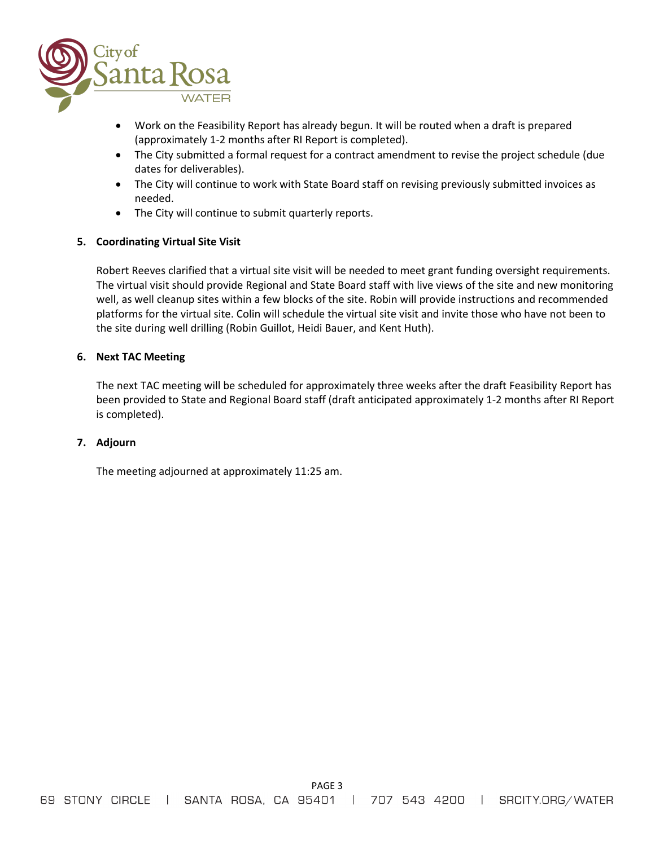

- Work on the Feasibility Report has already begun. It will be routed when a draft is prepared (approximately 1-2 months after RI Report is completed).
- The City submitted a formal request for a contract amendment to revise the project schedule (due dates for deliverables).
- The City will continue to work with State Board staff on revising previously submitted invoices as needed.
- The City will continue to submit quarterly reports.

# **5. Coordinating Virtual Site Visit**

Robert Reeves clarified that a virtual site visit will be needed to meet grant funding oversight requirements. The virtual visit should provide Regional and State Board staff with live views of the site and new monitoring well, as well cleanup sites within a few blocks of the site. Robin will provide instructions and recommended platforms for the virtual site. Colin will schedule the virtual site visit and invite those who have not been to the site during well drilling (Robin Guillot, Heidi Bauer, and Kent Huth).

## **6. Next TAC Meeting**

The next TAC meeting will be scheduled for approximately three weeks after the draft Feasibility Report has been provided to State and Regional Board staff (draft anticipated approximately 1-2 months after RI Report is completed).

## **7. Adjourn**

The meeting adjourned at approximately 11:25 am.